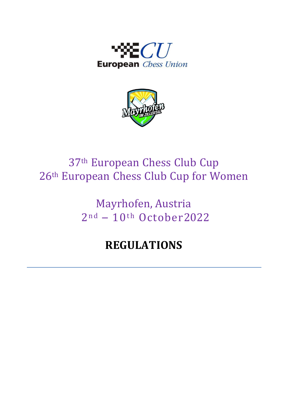



# 37th European Chess Club Cup 26th European Chess Club Cup for Women

Mayrhofen, Austria  $2<sup>nd</sup> - 10<sup>th</sup> October 2022$ 

## **REGULATIONS**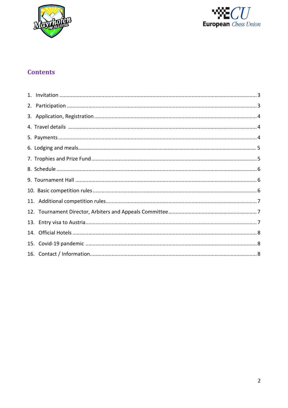



## **Contents**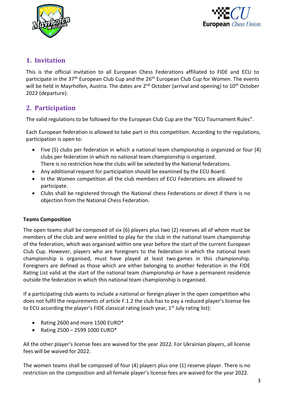



#### **1. Invitation**

This is the official invitation to all European Chess Federations affiliated to FIDE and ECU to participate in the 37<sup>th</sup> European Club Cup and the 26<sup>th</sup> European Club Cup for Women. The events will be held in Mayrhofen, Austria. The dates are 2<sup>nd</sup> October (arrival and opening) to 10<sup>th</sup> October 2022 (departure).

## <span id="page-2-0"></span>**2. Participation**

The valid regulations to be followed for the European Club Cup are the "ECU Tournament Rules".

Each European federation is allowed to take part in this competition. According to the regulations, participation is open to:

- Five (5) clubs per federation in which a national team championship is organized or four (4) clubs per federation in which no national team championship is organized. There is no restriction how the clubs will be selected by the National federations.
- Any additional request for participation should be examined by the ECU Board.
- In the Women competition all the club members of ECU Federations are allowed to participate.
- Clubs shall be registered through the National chess Federations or direct if there is no objection from the National Chess Federation.

#### **Teams Composition**

The open teams shall be composed of six (6) players plus two (2) reserves all of whom must be members of the club and were entitled to play for the club in the national team championship of the federation, which was organised within one year before the start of the current European Club Cup. However, players who are foreigners to the federation in which the national team championship is organised, must have played at least two games in this championship. Foreigners are defined as those which are either belonging to another federation in the FIDE Rating List valid at the start of the national team championship or have a permanent residence outside the federation in which this national team championship is organised.

If a participating club wants to include a national or foreign player in the open competition who does not fulfil the requirements of article F.1.2 the club has to pay a reduced player's license fee to ECU according the player's FIDE classical rating (each year,  $1<sup>st</sup>$  July rating list):

- Rating 2600 and more 1500 EURO\*
- Rating 2500 2599 1000 EURO\*

All the other player's license fees are waived for the year 2022. For Ukrainian players, all license fees will be waived for 2022.

The women teams shall be composed of four (4) players plus one (1) reserve player. There is no restriction on the composition and all female player's license fees are waived for the year 2022.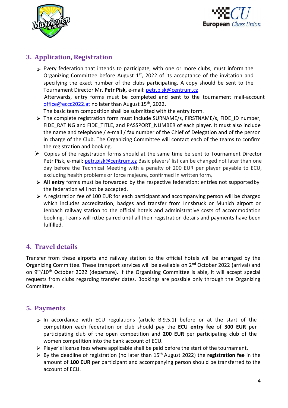



## **3. Application, Registration**

Every federation that intends to participate, with one or more clubs, must inform the Organizing Committee before August  $1<sup>st</sup>$ , 2022 of its acceptance of the invitation and specifying the exact number of the clubs participating. A copy should be sent to the Tournament Director Mr. **Petr Pisk,** e-mail[: petr.pisk@centrum.cz](mailto:petr.pisk@centrum.cz)

Afterwards, entry forms must be completed and sent to the tournament mail-account [office@eccc2022.at](mailto:office@eccc2022.at) [no](mailto:chessmkd@t.mkno) later than August 15<sup>th</sup>, 2022.

The basic team composition shall be submitted with the entry form.

- The complete registration form must include SURNAME/s, FIRSTNAME/s, FIDE\_ID number, FIDE\_RATING and FIDE\_TITLE, and PASSPORT\_NUMBER of each player. It must also include the name and telephone / e-mail / fax number of the Chief of Delegation and of the person in charge of the Club. The Organizing Committee will contact each of the teams to confirm the registration and booking.
- $\triangleright$  Copies of the registration forms should at the same time be sent to Tournament Director Petr Pisk, e-mail: [petr.pisk@centrum.cz](mailto:petr.pisk@centrum.cz) Basic players' list can be changed not later than one day before the Technical Meeting with a penalty of 200 EUR per player payable to ECU, excluding health problems or force majeure, confirmed in written form.
- **All entry** forms must be forwarded by the respective federation: entries not supportedby the federation will not be accepted.
- $\triangleright$  A registration fee of 100 EUR for each participant and accompanying person will be charged which includes accreditation, badges and transfer from Innsbruck or Munich airport or Jenbach railway station to the official hotels and administrative costs of accommodation booking. Teams will not be paired until all their registration details and payments have been fulfilled.

## **4. Travel details**

Transfer from these airports and railway station to the official hotels will be arranged by the Organizing Committee. These transport services will be available on 2<sup>nd</sup> October 2022 (arrival) and on 9<sup>th</sup>/10<sup>th</sup> October 2022 (departure). If the Organizing Committee is able, it will accept special requests from clubs regarding transfer dates. Bookings are possible only through the Organizing Committee.

#### <span id="page-3-0"></span>**5. Payments**

- $\triangleright$  In accordance with ECU regulations (article B.9.5.1) before or at the start of the competition each federation or club should pay the **ECU entry fee** of **300 EUR** per participating club of the open competition and **200 EUR** per participating club of the women competition into the bank account of ECU.
- $\triangleright$  Player's license fees where applicable shall be paid before the start of the tournament.
- By the deadline of registration (no later than 15th August 2022) the **registration fee** in the amount of **100 EUR** per participant and accompanying person should be transferred to the account of ECU.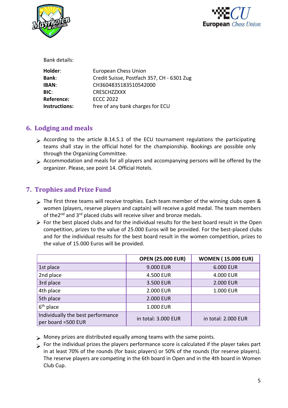



| Bank details:        |                                            |
|----------------------|--------------------------------------------|
| Holder:              | <b>European Chess Union</b>                |
| <b>Bank:</b>         | Credit Suisse, Postfach 357, CH - 6301 Zug |
| <b>IBAN:</b>         | CH3604835183510542000                      |
| <b>BIC:</b>          | <b>CRESCHZZXXX</b>                         |
| <b>Reference:</b>    | <b>ECCC 2022</b>                           |
| <b>Instructions:</b> | free of any bank charges for ECU           |
|                      |                                            |

## **6. Lodging and meals**

- $\triangleright$  According to the article B.14.5.1 of the ECU tournament regulations the participating teams shall stay in the official hotel for the championship. Bookings are possible only through the Organizing Committee.
- Accommodation and meals for all players and accompanying persons will be offered by the organizer. Please, see point [14. Official Hotels.](#page-7-0)

## **7. Trophies and Prize Fund**

- The first three teams will receive trophies. Each team member of the winning clubs open & women (players, reserve players and captain) will receive a gold medal. The team members of the2<sup>nd</sup> and 3<sup>rd</sup> placed clubs will receive silver and bronze medals.
- $\triangleright$  For the best placed clubs and for the individual results for the best board result in the Open competition, prizes to the value of 25.000 Euros will be provided. For the best-placed clubs and for the individual results for the best board result in the women competition, prizes to the value of 15.000 Euros will be provided.

|                                                         | <b>OPEN (25.000 EUR)</b> | <b>WOMEN (15.000 EUR)</b> |
|---------------------------------------------------------|--------------------------|---------------------------|
| 1st place                                               | 9.000 EUR                | 6.000 EUR                 |
| 2nd place                                               | 4.500 EUR                | 4.000 EUR                 |
| 3rd place                                               | 3.500 EUR                | 2.000 EUR                 |
| 4th place                                               | 2.000 EUR                | 1.000 EUR                 |
| 5th place                                               | 2.000 EUR                |                           |
| $6th$ place                                             | <b>1.000 EUR</b>         |                           |
| Individually the best performance<br>per board =500 EUR | in total: 3.000 EUR      | in total: 2.000 EUR       |

- > Money prizes are distributed equally among teams with the same points.
- For the individual prizes the players performance score is calculated if the player takes part in at least 70% of the rounds (for basic players) or 50% of the rounds (for reserve players). The reserve players are competing in the 6th board in Open and in the 4th board in Women Club Cup.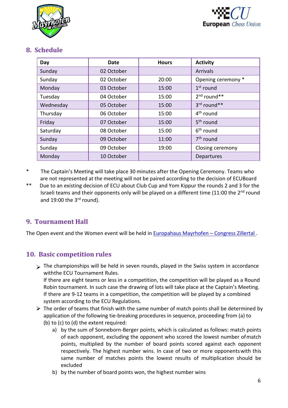



#### **8. Schedule**

| Day       | Date       | <b>Hours</b> | <b>Activity</b>       |  |  |
|-----------|------------|--------------|-----------------------|--|--|
| Sunday    | 02 October |              | <b>Arrivals</b>       |  |  |
| Sunday    | 02 October | 20:00        | Opening ceremony *    |  |  |
| Monday    | 03 October | 15:00        | $1st$ round           |  |  |
| Tuesday   | 04 October | 15:00        | $2nd$ round**         |  |  |
| Wednesday | 05 October | 15:00        | 3rd round**           |  |  |
| Thursday  | 06 October | 15:00        | 4 <sup>th</sup> round |  |  |
| Friday    | 07 October | 15:00        | 5 <sup>th</sup> round |  |  |
| Saturday  | 08 October | 15:00        | 6 <sup>th</sup> round |  |  |
| Sunday    | 09 October | 11:00        | 7 <sup>th</sup> round |  |  |
| Sunday    | 09 October | 19:00        | Closing ceremony      |  |  |
| Monday    | 10 October |              | Departures            |  |  |

- \* The Captain's Meeting will take place 30 minutes after the Opening Ceremony. Teams who are not represented at the meeting will not be paired according to the decision of ECUBoard
- \*\* Due to an existing decision of ECU about Club Cup and Yom Kippur the rounds 2 and 3 for the Israeli teams and their opponents only will be played on a different time (11:00 the 2<sup>nd</sup> round and 19:00 the  $3<sup>rd</sup>$  round).

## **9. Tournament Hall**

The Open event and the Women event will be held in **Europahaus Mayrhofen** - Congress Zillertal.

## **10. Basic competition rules**

 $\triangleright$  The championships will be held in seven rounds, played in the Swiss system in accordance withthe ECU Tournament Rules.

<span id="page-5-0"></span>If there are eight teams or less in a competition, the competition will be played as a Round Robin tournament. In such case the drawing of lots will take place at the Captain's Meeting. If there are 9-12 teams in a competition, the competition will be played by a combined system according to the ECU Regulations.

- $\triangleright$  The order of teams that finish with the same number of match points shall be determined by application of the following tie-breaking procedures in sequence, proceeding from (a) to (b) to (c) to (d) the extent required:
	- a) by the sum of Sonneborn-Berger points, which is calculated as follows: match points of each opponent, excluding the opponent who scored the lowest number ofmatch points, multiplied by the number of board points scored against each opponent respectively. The highest number wins. In case of two or more opponentswith this same number of matches points the lowest results of multiplication should be excluded
	- b) by the number of board points won, the highest number wins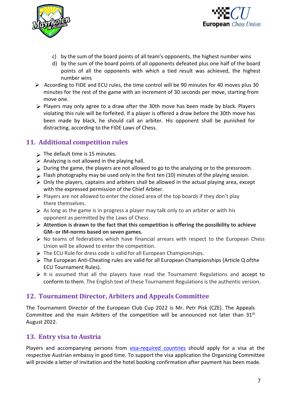



- c) by the sum of the board points of all team's opponents, the highest number wins
- d) by the sum of the board points of all opponents defeated plus one half of the board points of all the opponents with which a tied result was achieved, the highest number wins
- According to FIDE and ECU rules, the time control will be 90 minutes for 40 moves plus 30 minutes for the rest of the game with an increment of 30 seconds per move, starting from move one.
- $\triangleright$  Players may only agree to a draw after the 30th move has been made by black. Players violating this rule will be forfeited. If a player is offered a draw before the 30th move has been made by black, he should call an arbiter. His opponent shall be punished for distracting, according to the FIDE Laws of Chess.

#### **11. Additional competition rules**

- $\triangleright$  The default time is 15 minutes.
- $\triangleright$  Analyzing is not allowed in the playing hall.
- During the game, the players are not allowed to go to the analyzing or to the pressroom.
- $\triangleright$  Flash photography may be used only in the first ten (10) minutes of the playing session.
- $\triangleright$  Only the players, captains and arbiters shall be allowed in the actual playing area, except with the expressed permission of the Chief Arbiter.
- $\triangleright$  Players are not allowed to enter the closed area of the top boards if they don't play there themselves.
- $\triangleright$  As long as the game is in progress a player may talk only to an arbiter or with his opponent as permitted by the Laws of Chess.
- **Attention is drawn to the fact that this competition is offering the possibility to achieve GM- or IM-norms based on seven games.**
- $\triangleright$  No teams of federations which have financial arrears with respect to the European Chess Union will be allowed to enter the competition.
- $\triangleright$  The ECU Rule for dress code is valid for all European Championships.
- The European Anti-Cheating rules are valid for all European Championships (Article Q ofthe ECU Tournament Rules).
- <span id="page-6-0"></span> $\triangleright$  It is assumed that all the players have read the Tournament Regulations and accept to conform to them. The English text of these Tournament Regulations is the authentic version.

#### **12. Tournament Director, Arbiters and Appeals Committee**

The Tournament Director of the European Club Cup 2022 is Mr. Petr Pisk (CZE). The Appeals Committee and the main Arbiters of the competition will be announced not later than 31<sup>st</sup> August 2022.

#### <span id="page-6-1"></span>**13. Entry visa to Austria**

Players and accompanying persons from [visa-required countries](https://www.bmi.gv.at/202/Fremdenpolizei_und_Grenzkontrolle/Visumpflichtige_Laender/files/EN_HP_BMI_Visaliste_aktuell_BF_20220429.pdf) should apply for a visa at the respective Austrian embassy in good time. To support the visa application the Organizing Committee will provide a letter of invitation and the hotel booking confirmation after payment has been made.